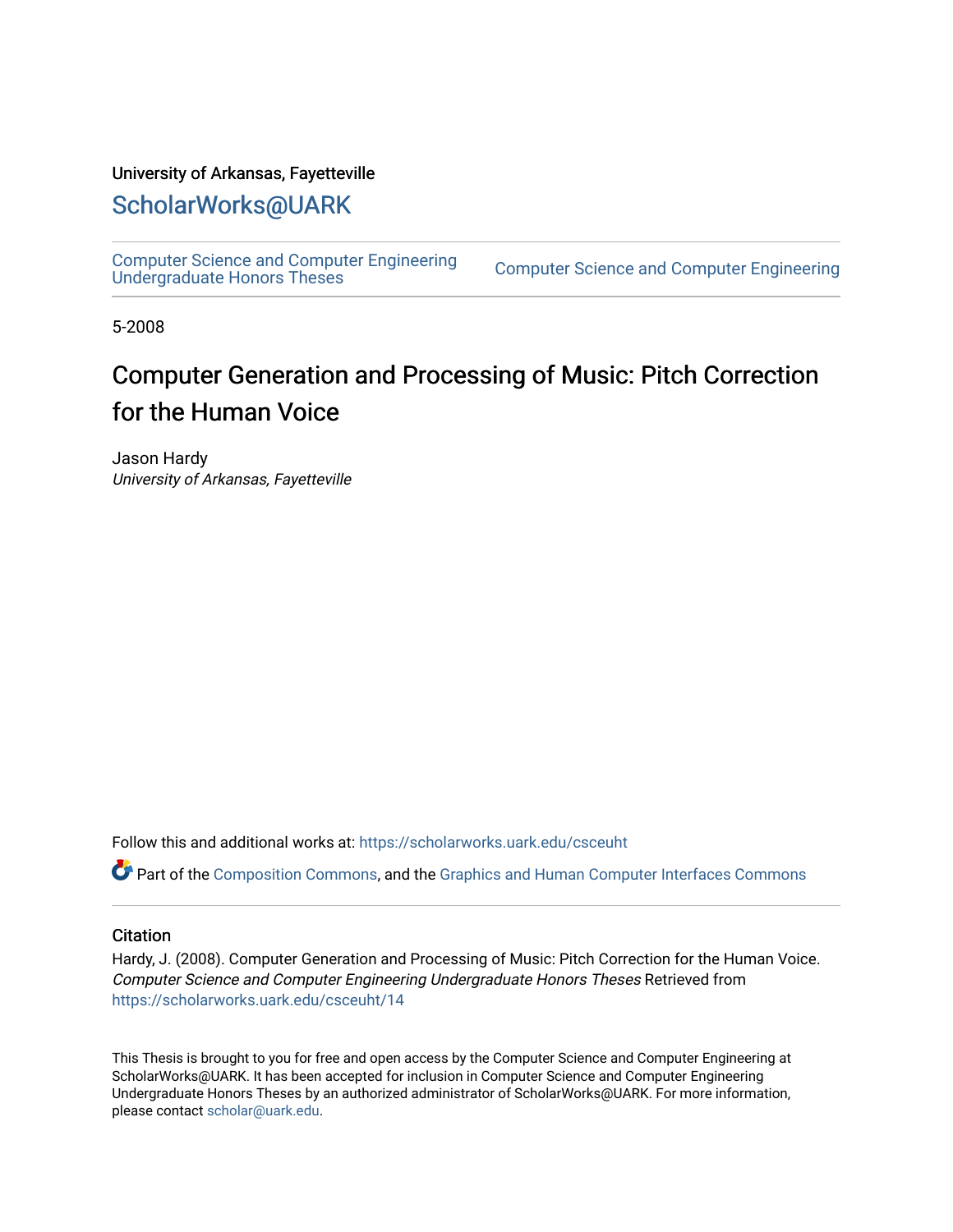#### University of Arkansas, Fayetteville

#### [ScholarWorks@UARK](https://scholarworks.uark.edu/)

[Computer Science and Computer Engineering](https://scholarworks.uark.edu/csceuht) 

Computer Science and Computer Engineering

5-2008

## Computer Generation and Processing of Music: Pitch Correction for the Human Voice

Jason Hardy University of Arkansas, Fayetteville

Follow this and additional works at: [https://scholarworks.uark.edu/csceuht](https://scholarworks.uark.edu/csceuht?utm_source=scholarworks.uark.edu%2Fcsceuht%2F14&utm_medium=PDF&utm_campaign=PDFCoverPages)

Part of the [Composition Commons,](http://network.bepress.com/hgg/discipline/519?utm_source=scholarworks.uark.edu%2Fcsceuht%2F14&utm_medium=PDF&utm_campaign=PDFCoverPages) and the [Graphics and Human Computer Interfaces Commons](http://network.bepress.com/hgg/discipline/146?utm_source=scholarworks.uark.edu%2Fcsceuht%2F14&utm_medium=PDF&utm_campaign=PDFCoverPages)

#### **Citation**

Hardy, J. (2008). Computer Generation and Processing of Music: Pitch Correction for the Human Voice. Computer Science and Computer Engineering Undergraduate Honors Theses Retrieved from [https://scholarworks.uark.edu/csceuht/14](https://scholarworks.uark.edu/csceuht/14?utm_source=scholarworks.uark.edu%2Fcsceuht%2F14&utm_medium=PDF&utm_campaign=PDFCoverPages) 

This Thesis is brought to you for free and open access by the Computer Science and Computer Engineering at ScholarWorks@UARK. It has been accepted for inclusion in Computer Science and Computer Engineering Undergraduate Honors Theses by an authorized administrator of ScholarWorks@UARK. For more information, please contact [scholar@uark.edu](mailto:scholar@uark.edu).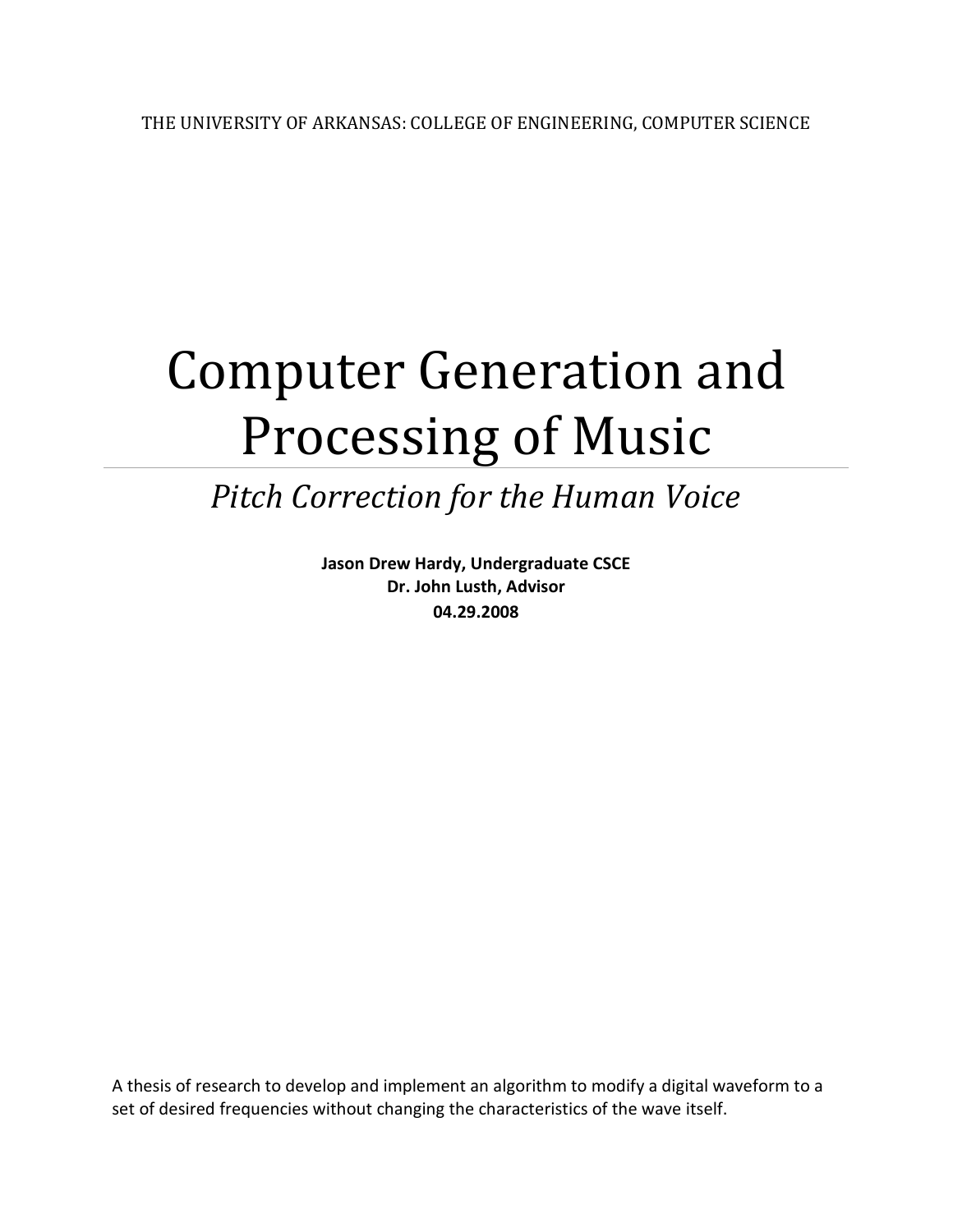# Computer Generation and Processing of Music

# Pitch Correction for the Human Voice

Jason Drew Hardy, Undergraduate CSCE Dr. John Lusth, Advisor 04.29.2008

A thesis of research to develop and implement an algorithm to modify a digital waveform to a set of desired frequencies without changing the characteristics of the wave itself.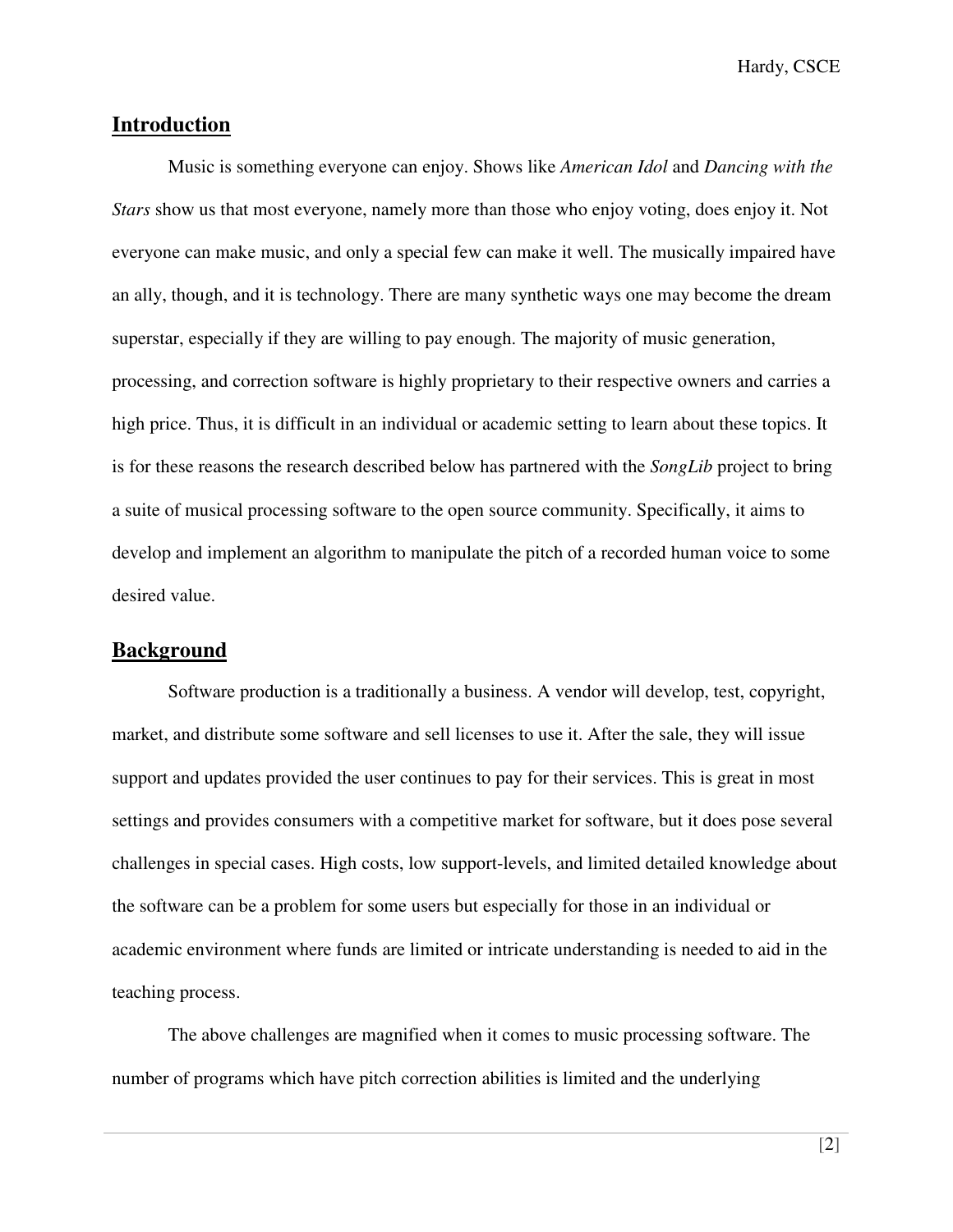Hardy, CSCE

#### **Introduction**

 Music is something everyone can enjoy. Shows like *American Idol* and *Dancing with the Stars* show us that most everyone, namely more than those who enjoy voting, does enjoy it. Not everyone can make music, and only a special few can make it well. The musically impaired have an ally, though, and it is technology. There are many synthetic ways one may become the dream superstar, especially if they are willing to pay enough. The majority of music generation, processing, and correction software is highly proprietary to their respective owners and carries a high price. Thus, it is difficult in an individual or academic setting to learn about these topics. It is for these reasons the research described below has partnered with the *SongLib* project to bring a suite of musical processing software to the open source community. Specifically, it aims to develop and implement an algorithm to manipulate the pitch of a recorded human voice to some desired value.

#### **Background**

 Software production is a traditionally a business. A vendor will develop, test, copyright, market, and distribute some software and sell licenses to use it. After the sale, they will issue support and updates provided the user continues to pay for their services. This is great in most settings and provides consumers with a competitive market for software, but it does pose several challenges in special cases. High costs, low support-levels, and limited detailed knowledge about the software can be a problem for some users but especially for those in an individual or academic environment where funds are limited or intricate understanding is needed to aid in the teaching process.

 The above challenges are magnified when it comes to music processing software. The number of programs which have pitch correction abilities is limited and the underlying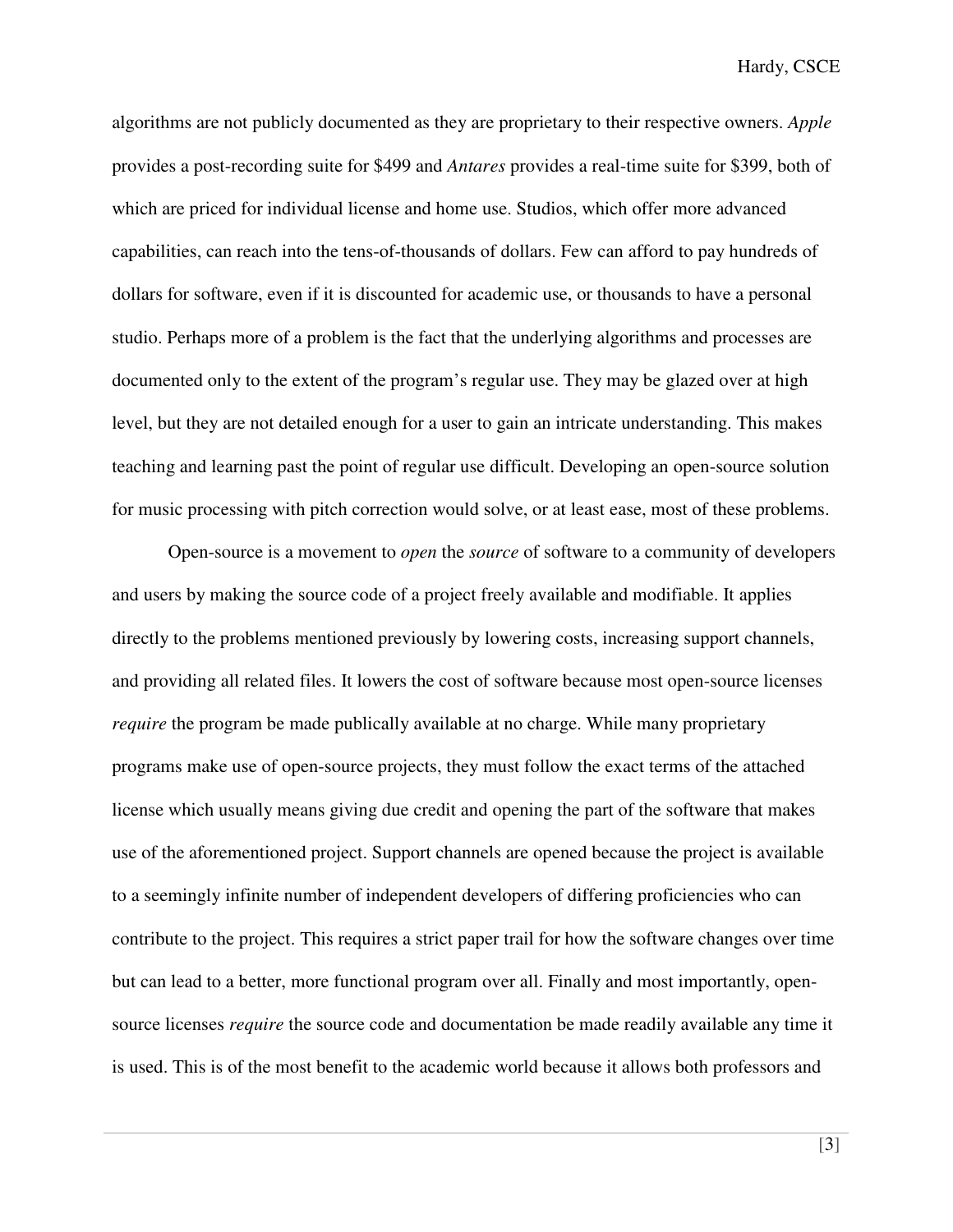algorithms are not publicly documented as they are proprietary to their respective owners. *Apple* provides a post-recording suite for \$499 and *Antares* provides a real-time suite for \$399, both of which are priced for individual license and home use. Studios, which offer more advanced capabilities, can reach into the tens-of-thousands of dollars. Few can afford to pay hundreds of dollars for software, even if it is discounted for academic use, or thousands to have a personal studio. Perhaps more of a problem is the fact that the underlying algorithms and processes are documented only to the extent of the program's regular use. They may be glazed over at high level, but they are not detailed enough for a user to gain an intricate understanding. This makes teaching and learning past the point of regular use difficult. Developing an open-source solution for music processing with pitch correction would solve, or at least ease, most of these problems.

 Open-source is a movement to *open* the *source* of software to a community of developers and users by making the source code of a project freely available and modifiable. It applies directly to the problems mentioned previously by lowering costs, increasing support channels, and providing all related files. It lowers the cost of software because most open-source licenses *require* the program be made publically available at no charge. While many proprietary programs make use of open-source projects, they must follow the exact terms of the attached license which usually means giving due credit and opening the part of the software that makes use of the aforementioned project. Support channels are opened because the project is available to a seemingly infinite number of independent developers of differing proficiencies who can contribute to the project. This requires a strict paper trail for how the software changes over time but can lead to a better, more functional program over all. Finally and most importantly, opensource licenses *require* the source code and documentation be made readily available any time it is used. This is of the most benefit to the academic world because it allows both professors and

 $[3]$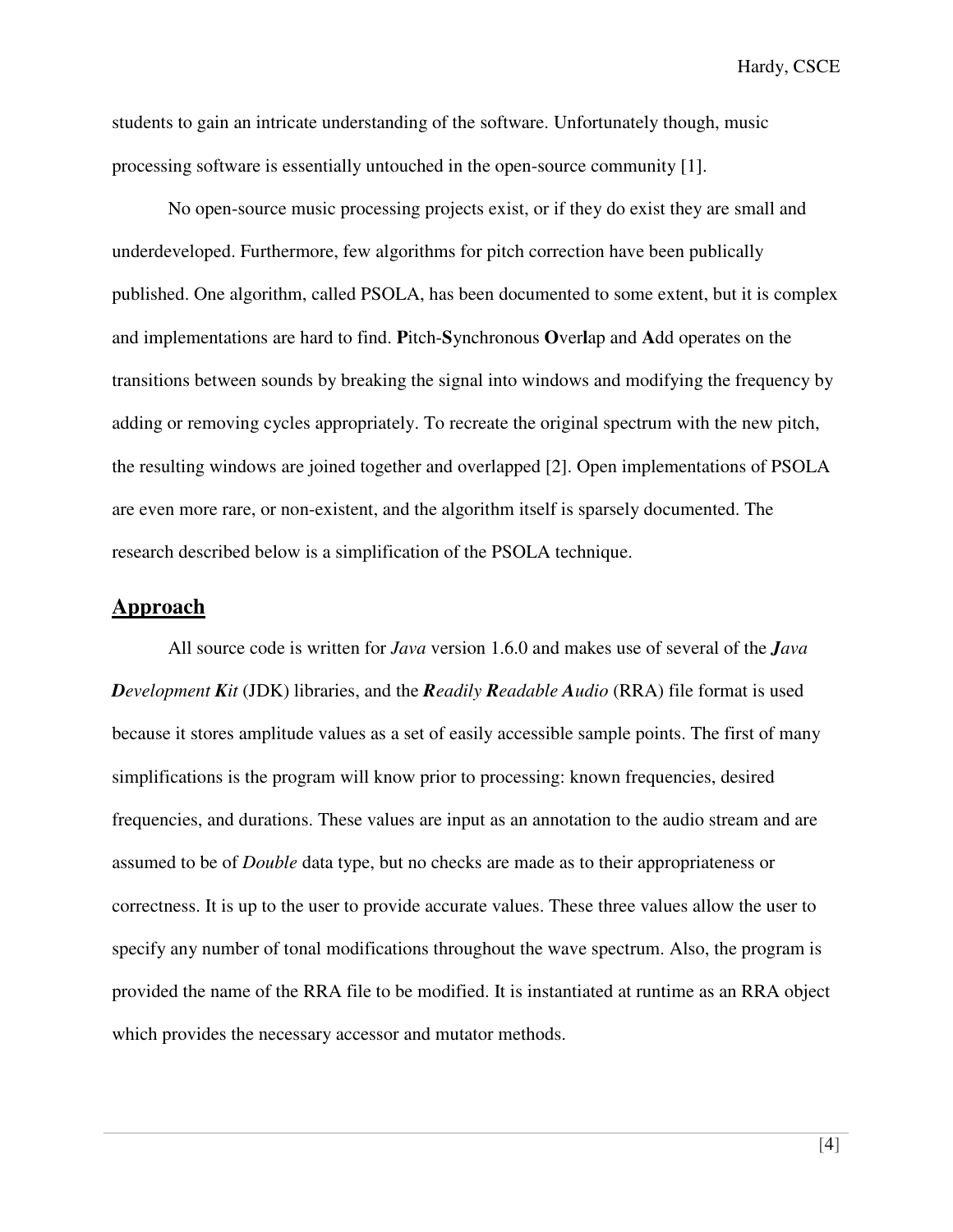Hardy, CSCE

students to gain an intricate understanding of the software. Unfortunately though, music processing software is essentially untouched in the open-source community [1].

 No open-source music processing projects exist, or if they do exist they are small and underdeveloped. Furthermore, few algorithms for pitch correction have been publically published. One algorithm, called PSOLA, has been documented to some extent, but it is complex and implementations are hard to find. **P**itch-**S**ynchronous **O**ver**l**ap and **A**dd operates on the transitions between sounds by breaking the signal into windows and modifying the frequency by adding or removing cycles appropriately. To recreate the original spectrum with the new pitch, the resulting windows are joined together and overlapped [2]. Open implementations of PSOLA are even more rare, or non-existent, and the algorithm itself is sparsely documented. The research described below is a simplification of the PSOLA technique.

#### **Approach**

 All source code is written for *Java* version 1.6.0 and makes use of several of the *Java Development Kit* (JDK) libraries, and the *Readily Readable Audio* (RRA) file format is used because it stores amplitude values as a set of easily accessible sample points. The first of many simplifications is the program will know prior to processing: known frequencies, desired frequencies, and durations. These values are input as an annotation to the audio stream and are assumed to be of *Double* data type, but no checks are made as to their appropriateness or correctness. It is up to the user to provide accurate values. These three values allow the user to specify any number of tonal modifications throughout the wave spectrum. Also, the program is provided the name of the RRA file to be modified. It is instantiated at runtime as an RRA object which provides the necessary accessor and mutator methods.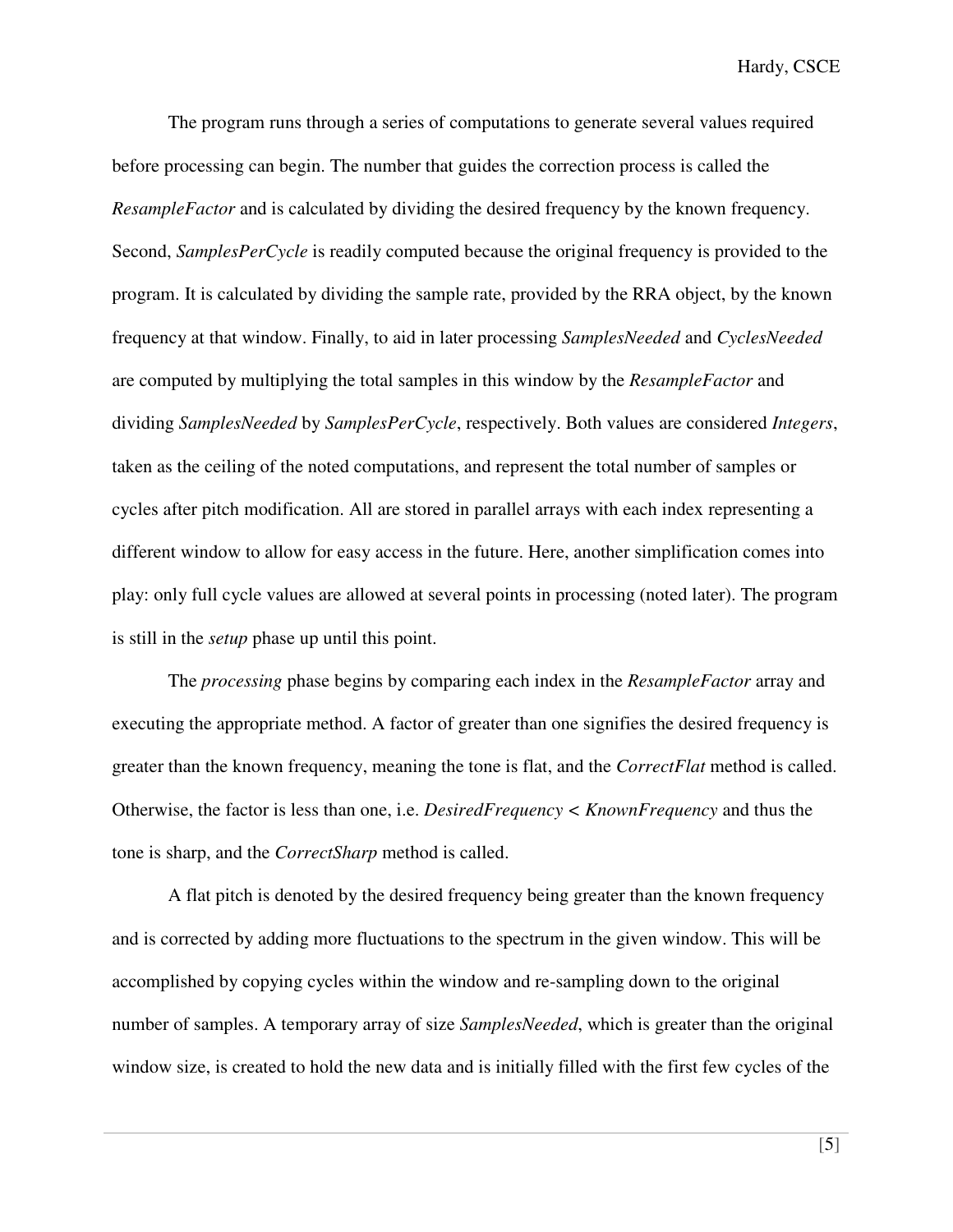The program runs through a series of computations to generate several values required before processing can begin. The number that guides the correction process is called the *ResampleFactor* and is calculated by dividing the desired frequency by the known frequency. Second, *SamplesPerCycle* is readily computed because the original frequency is provided to the program. It is calculated by dividing the sample rate, provided by the RRA object, by the known frequency at that window. Finally, to aid in later processing *SamplesNeeded* and *CyclesNeeded* are computed by multiplying the total samples in this window by the *ResampleFactor* and dividing *SamplesNeeded* by *SamplesPerCycle*, respectively. Both values are considered *Integers*, taken as the ceiling of the noted computations, and represent the total number of samples or cycles after pitch modification. All are stored in parallel arrays with each index representing a different window to allow for easy access in the future. Here, another simplification comes into play: only full cycle values are allowed at several points in processing (noted later). The program is still in the *setup* phase up until this point.

The *processing* phase begins by comparing each index in the *ResampleFactor* array and executing the appropriate method. A factor of greater than one signifies the desired frequency is greater than the known frequency, meaning the tone is flat, and the *CorrectFlat* method is called. Otherwise, the factor is less than one, i.e. *DesiredFrequency < KnownFrequency* and thus the tone is sharp, and the *CorrectSharp* method is called.

A flat pitch is denoted by the desired frequency being greater than the known frequency and is corrected by adding more fluctuations to the spectrum in the given window. This will be accomplished by copying cycles within the window and re-sampling down to the original number of samples. A temporary array of size *SamplesNeeded*, which is greater than the original window size, is created to hold the new data and is initially filled with the first few cycles of the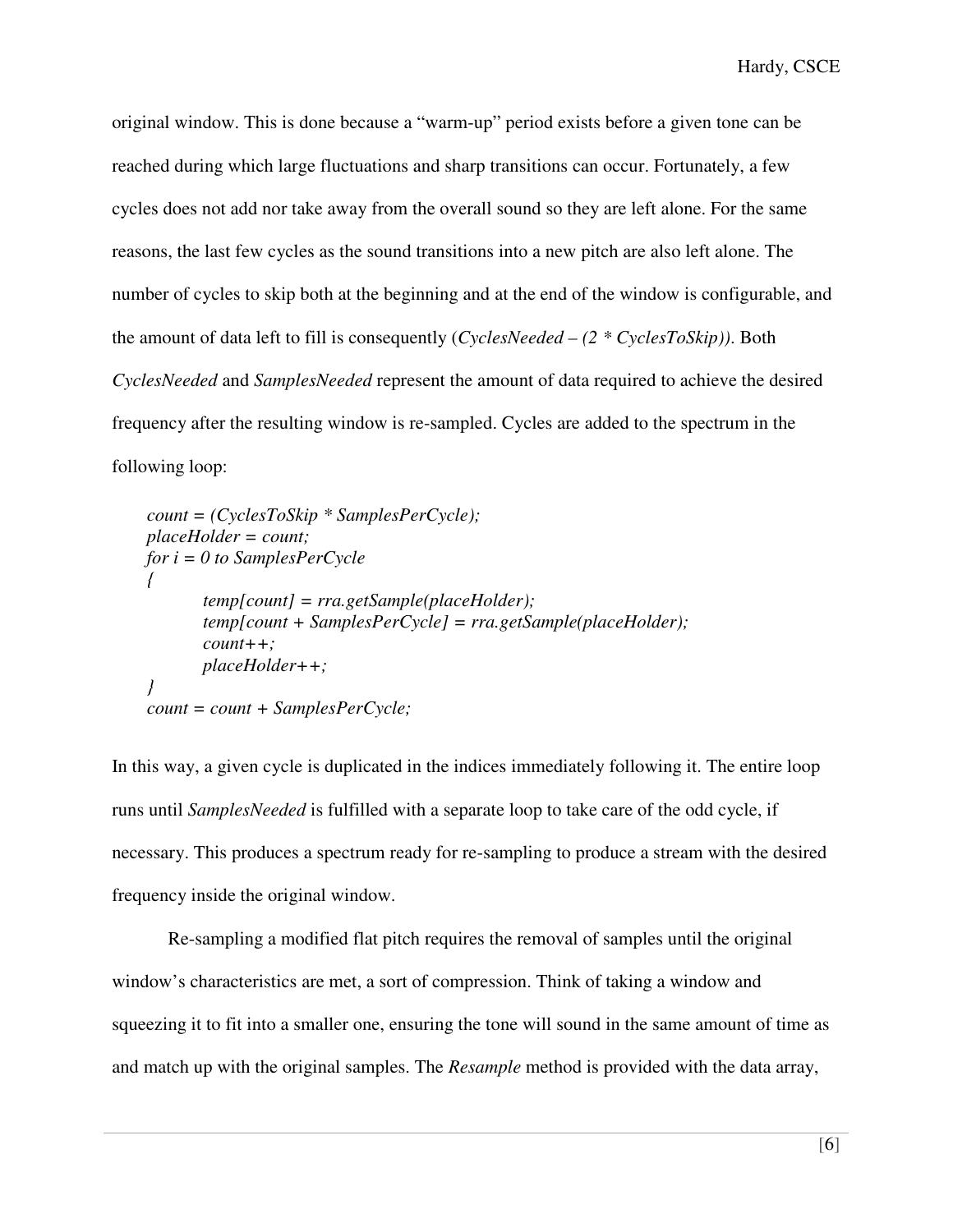original window. This is done because a "warm-up" period exists before a given tone can be reached during which large fluctuations and sharp transitions can occur. Fortunately, a few cycles does not add nor take away from the overall sound so they are left alone. For the same reasons, the last few cycles as the sound transitions into a new pitch are also left alone. The number of cycles to skip both at the beginning and at the end of the window is configurable, and the amount of data left to fill is consequently (*CyclesNeeded – (2 \* CyclesToSkip))*. Both *CyclesNeeded* and *SamplesNeeded* represent the amount of data required to achieve the desired frequency after the resulting window is re-sampled. Cycles are added to the spectrum in the following loop:

```
count = (CyclesToSkip * SamplesPerCycle); 
placeHolder = count; 
for i = 0 to SamplesPerCycle 
{ 
        temp[count] = rra.getSample(placeHolder); 
        temp[count + SamplesPerCycle] = rra.getSample(placeHolder); 
        count++; 
        placeHolder++; 
} 
count = count + SamplesPerCycle;
```
In this way, a given cycle is duplicated in the indices immediately following it. The entire loop runs until *SamplesNeeded* is fulfilled with a separate loop to take care of the odd cycle, if necessary. This produces a spectrum ready for re-sampling to produce a stream with the desired frequency inside the original window.

 Re-sampling a modified flat pitch requires the removal of samples until the original window's characteristics are met, a sort of compression. Think of taking a window and squeezing it to fit into a smaller one, ensuring the tone will sound in the same amount of time as and match up with the original samples. The *Resample* method is provided with the data array,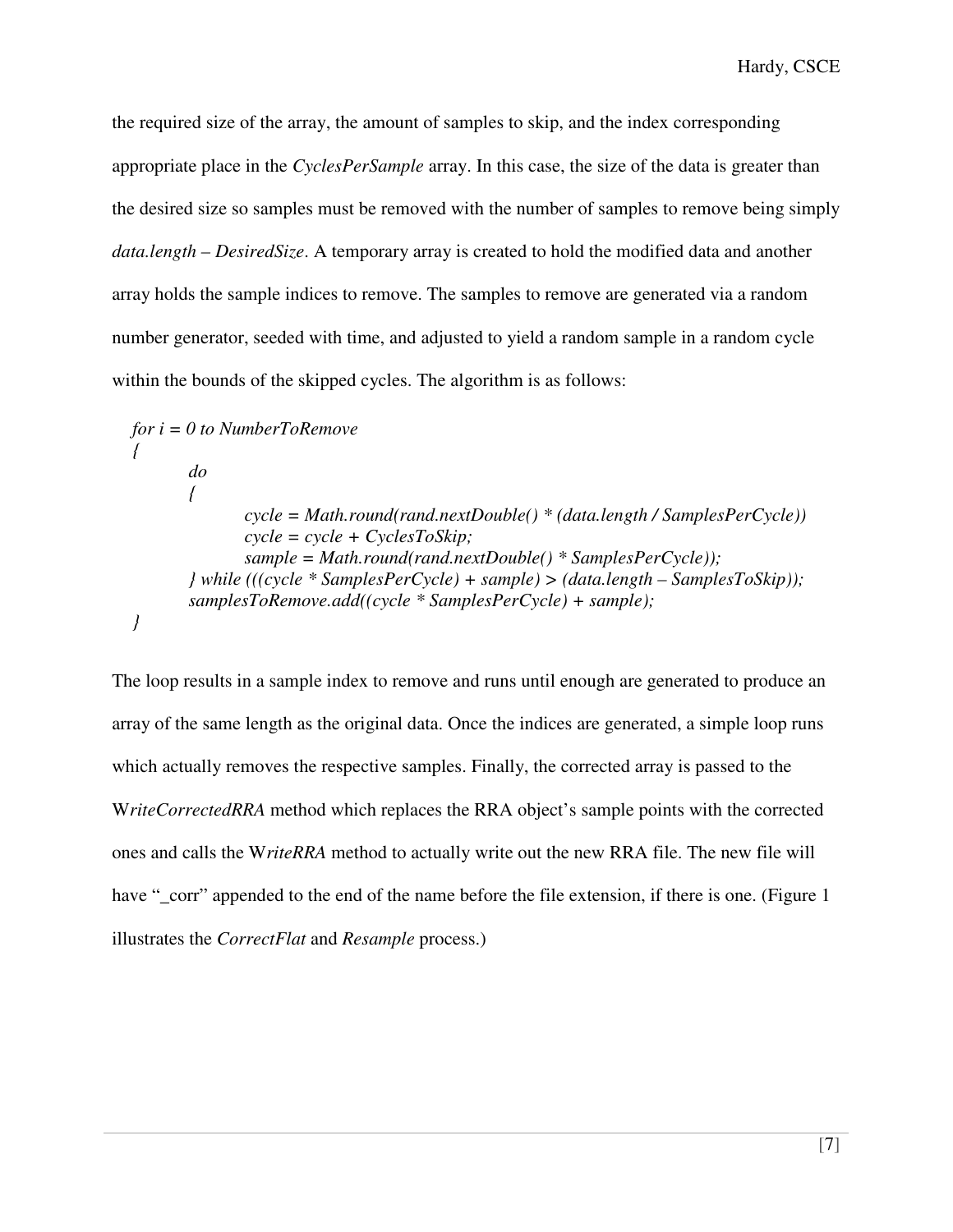the required size of the array, the amount of samples to skip, and the index corresponding appropriate place in the *CyclesPerSample* array. In this case, the size of the data is greater than the desired size so samples must be removed with the number of samples to remove being simply *data.length – DesiredSize*. A temporary array is created to hold the modified data and another array holds the sample indices to remove. The samples to remove are generated via a random number generator, seeded with time, and adjusted to yield a random sample in a random cycle within the bounds of the skipped cycles. The algorithm is as follows:

*for i = 0 to NumberToRemove { do { cycle = Math.round(rand.nextDouble() \* (data.length / SamplesPerCycle)) cycle = cycle + CyclesToSkip; sample = Math.round(rand.nextDouble() \* SamplesPerCycle)); } while (((cycle \* SamplesPerCycle) + sample) > (data.length – SamplesToSkip)); samplesToRemove.add((cycle \* SamplesPerCycle) + sample); }* 

The loop results in a sample index to remove and runs until enough are generated to produce an array of the same length as the original data. Once the indices are generated, a simple loop runs which actually removes the respective samples. Finally, the corrected array is passed to the W*riteCorrectedRRA* method which replaces the RRA object's sample points with the corrected ones and calls the W*riteRRA* method to actually write out the new RRA file. The new file will have "\_corr" appended to the end of the name before the file extension, if there is one. (Figure 1 illustrates the *CorrectFlat* and *Resample* process.)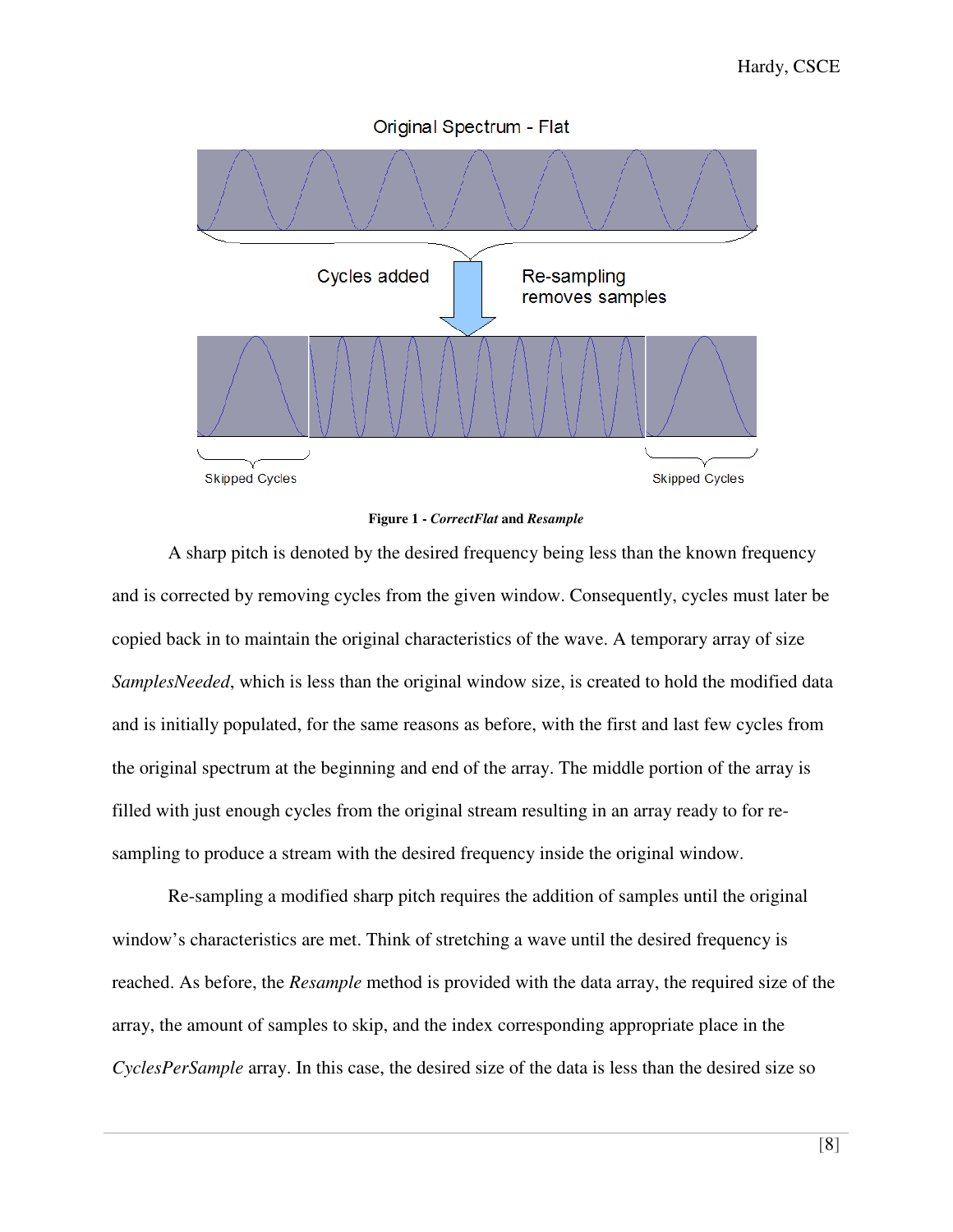

#### **Figure 1 -** *CorrectFlat* **and** *Resample*

 A sharp pitch is denoted by the desired frequency being less than the known frequency and is corrected by removing cycles from the given window. Consequently, cycles must later be copied back in to maintain the original characteristics of the wave. A temporary array of size *SamplesNeeded*, which is less than the original window size, is created to hold the modified data and is initially populated, for the same reasons as before, with the first and last few cycles from the original spectrum at the beginning and end of the array. The middle portion of the array is filled with just enough cycles from the original stream resulting in an array ready to for resampling to produce a stream with the desired frequency inside the original window.

Re-sampling a modified sharp pitch requires the addition of samples until the original window's characteristics are met. Think of stretching a wave until the desired frequency is reached. As before, the *Resample* method is provided with the data array, the required size of the array, the amount of samples to skip, and the index corresponding appropriate place in the *CyclesPerSample* array. In this case, the desired size of the data is less than the desired size so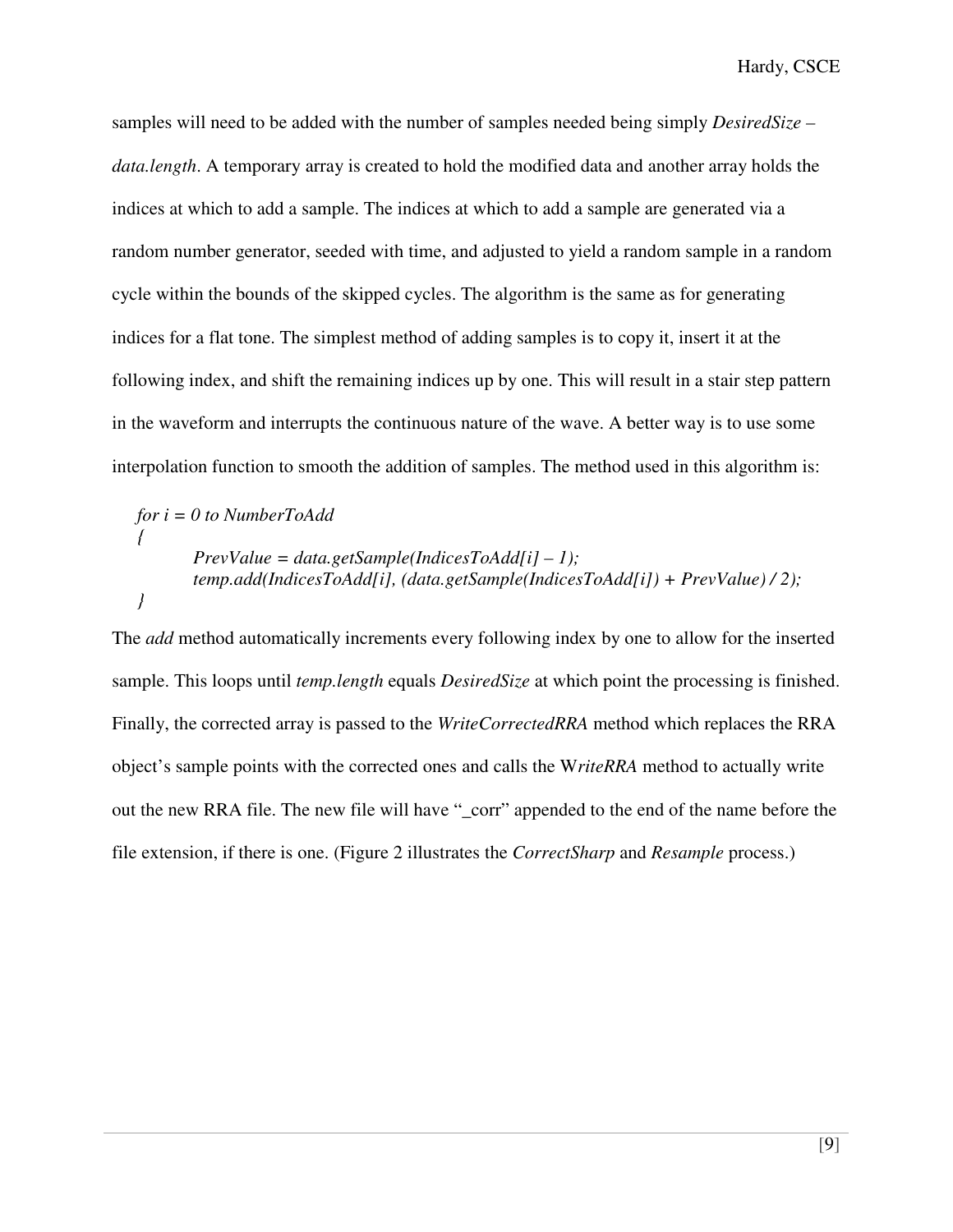samples will need to be added with the number of samples needed being simply *DesiredSize – data.length*. A temporary array is created to hold the modified data and another array holds the indices at which to add a sample. The indices at which to add a sample are generated via a random number generator, seeded with time, and adjusted to yield a random sample in a random cycle within the bounds of the skipped cycles. The algorithm is the same as for generating indices for a flat tone. The simplest method of adding samples is to copy it, insert it at the following index, and shift the remaining indices up by one. This will result in a stair step pattern in the waveform and interrupts the continuous nature of the wave. A better way is to use some interpolation function to smooth the addition of samples. The method used in this algorithm is:

$$
for i = 0 to NumberToAdd
$$
\n
$$
\{ \nPrevValue = data.getSample(IndicesToAdd[i] - 1);
$$
\n
$$
temp.add(IndicesToAdd[i], (data.getSample(IndicesToAdd[i]) + PrevValue) / 2);
$$

The *add* method automatically increments every following index by one to allow for the inserted sample. This loops until *temp.length* equals *DesiredSize* at which point the processing is finished. Finally, the corrected array is passed to the *WriteCorrectedRRA* method which replaces the RRA object's sample points with the corrected ones and calls the W*riteRRA* method to actually write out the new RRA file. The new file will have "\_corr" appended to the end of the name before the file extension, if there is one. (Figure 2 illustrates the *CorrectSharp* and *Resample* process.)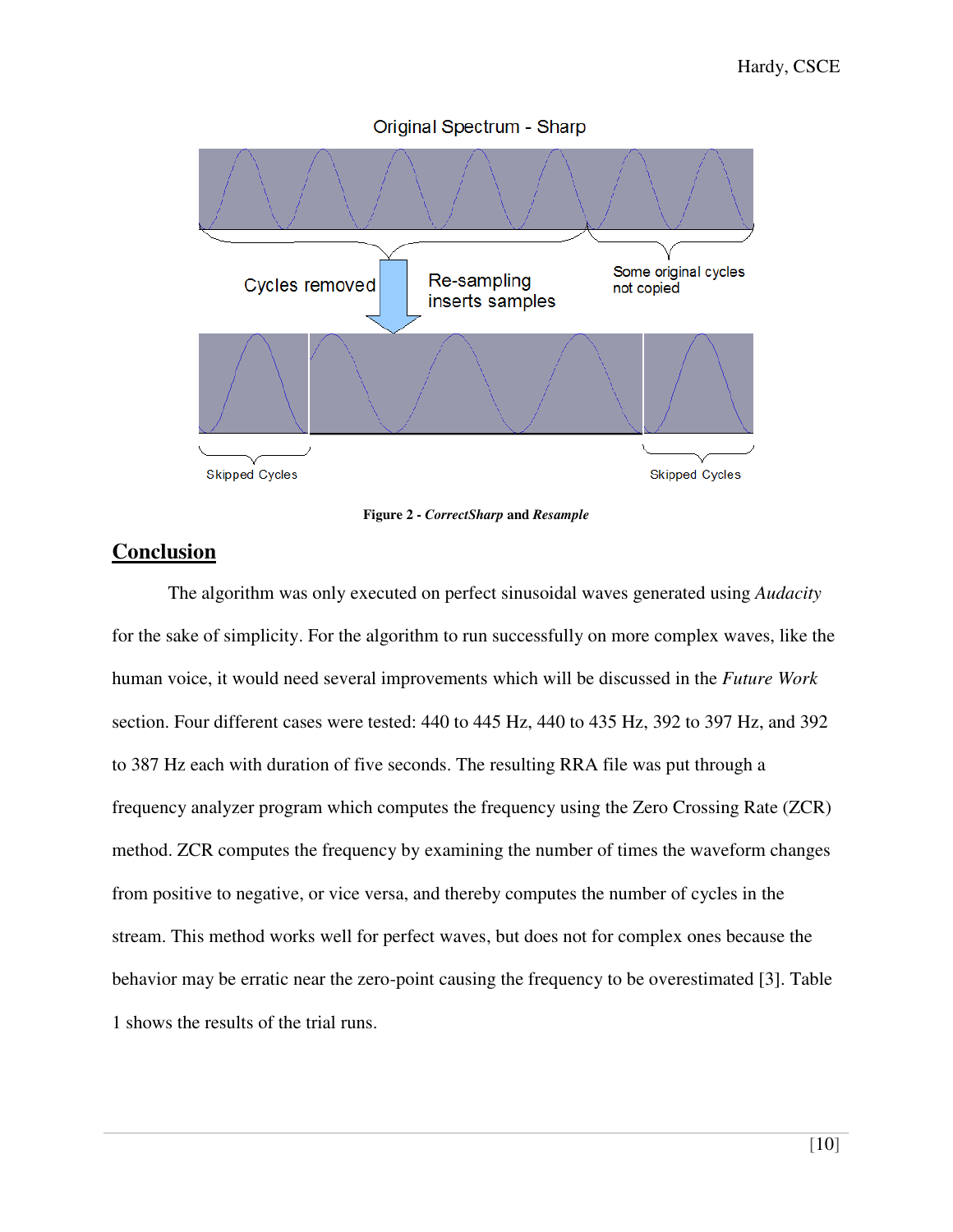

**Figure 2 -** *CorrectSharp* **and** *Resample*

#### **Conclusion**

 The algorithm was only executed on perfect sinusoidal waves generated using *Audacity* for the sake of simplicity. For the algorithm to run successfully on more complex waves, like the human voice, it would need several improvements which will be discussed in the *Future Work* section. Four different cases were tested: 440 to 445 Hz, 440 to 435 Hz, 392 to 397 Hz, and 392 to 387 Hz each with duration of five seconds. The resulting RRA file was put through a frequency analyzer program which computes the frequency using the Zero Crossing Rate (ZCR) method. ZCR computes the frequency by examining the number of times the waveform changes from positive to negative, or vice versa, and thereby computes the number of cycles in the stream. This method works well for perfect waves, but does not for complex ones because the behavior may be erratic near the zero-point causing the frequency to be overestimated [3]. Table 1 shows the results of the trial runs.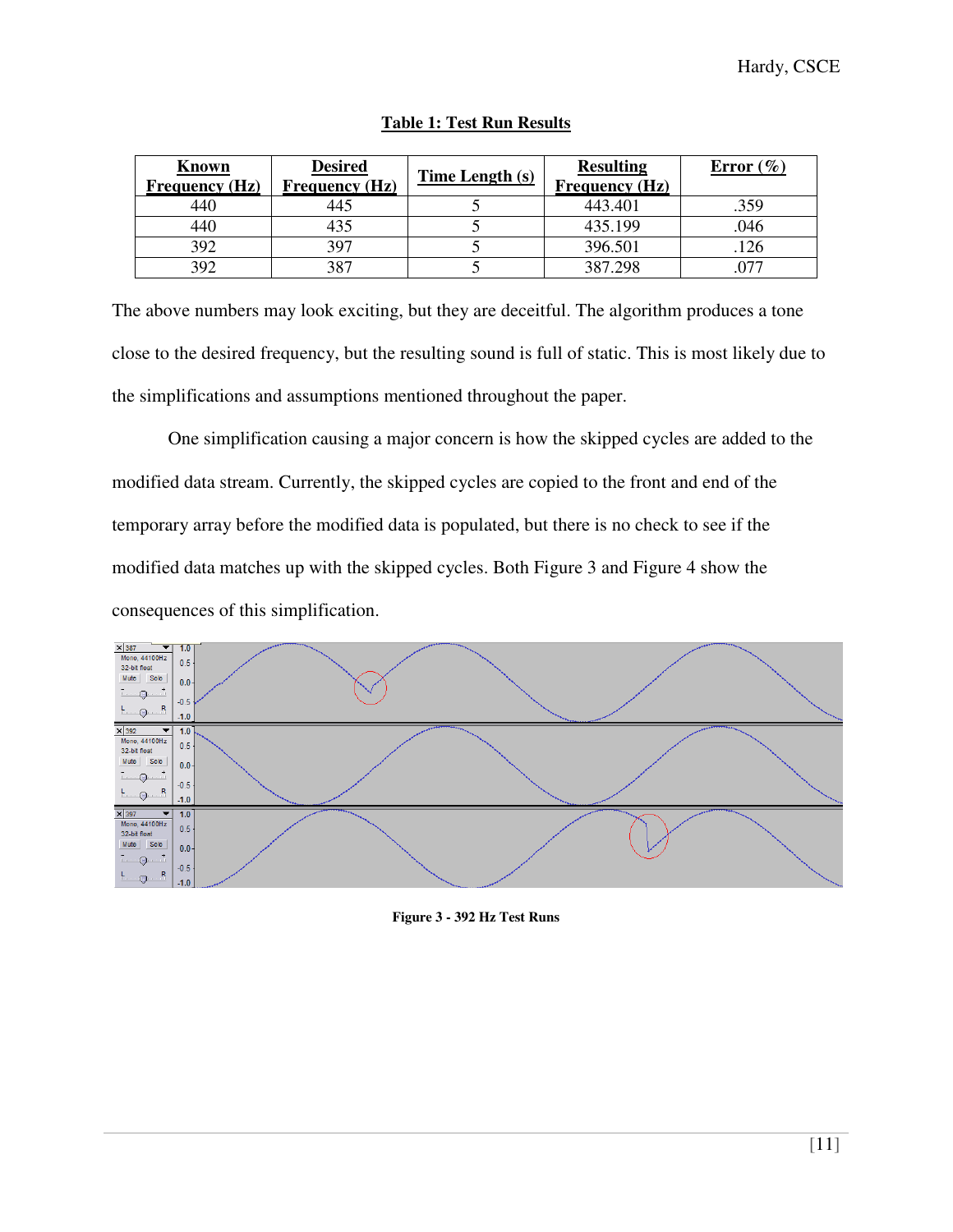| Known<br>Frequency(Hz) | <b>Desired</b><br><b>Frequency</b> (Hz) | Time Length (s) | <b>Resulting</b><br><b>Frequency (Hz)</b> | Error $(\% )$ |
|------------------------|-----------------------------------------|-----------------|-------------------------------------------|---------------|
| 440                    | 145                                     |                 | 443.401                                   | .359          |
| 440                    | 435                                     |                 | 435.199                                   | .046          |
| 392                    | 397                                     |                 | 396.501                                   | .126          |
| 392                    | 387                                     |                 | 387.298                                   |               |

#### **Table 1: Test Run Results**

The above numbers may look exciting, but they are deceitful. The algorithm produces a tone close to the desired frequency, but the resulting sound is full of static. This is most likely due to the simplifications and assumptions mentioned throughout the paper.

 One simplification causing a major concern is how the skipped cycles are added to the modified data stream. Currently, the skipped cycles are copied to the front and end of the temporary array before the modified data is populated, but there is no check to see if the modified data matches up with the skipped cycles. Both Figure 3 and Figure 4 show the consequences of this simplification.



#### **Figure 3 - 392 Hz Test Runs**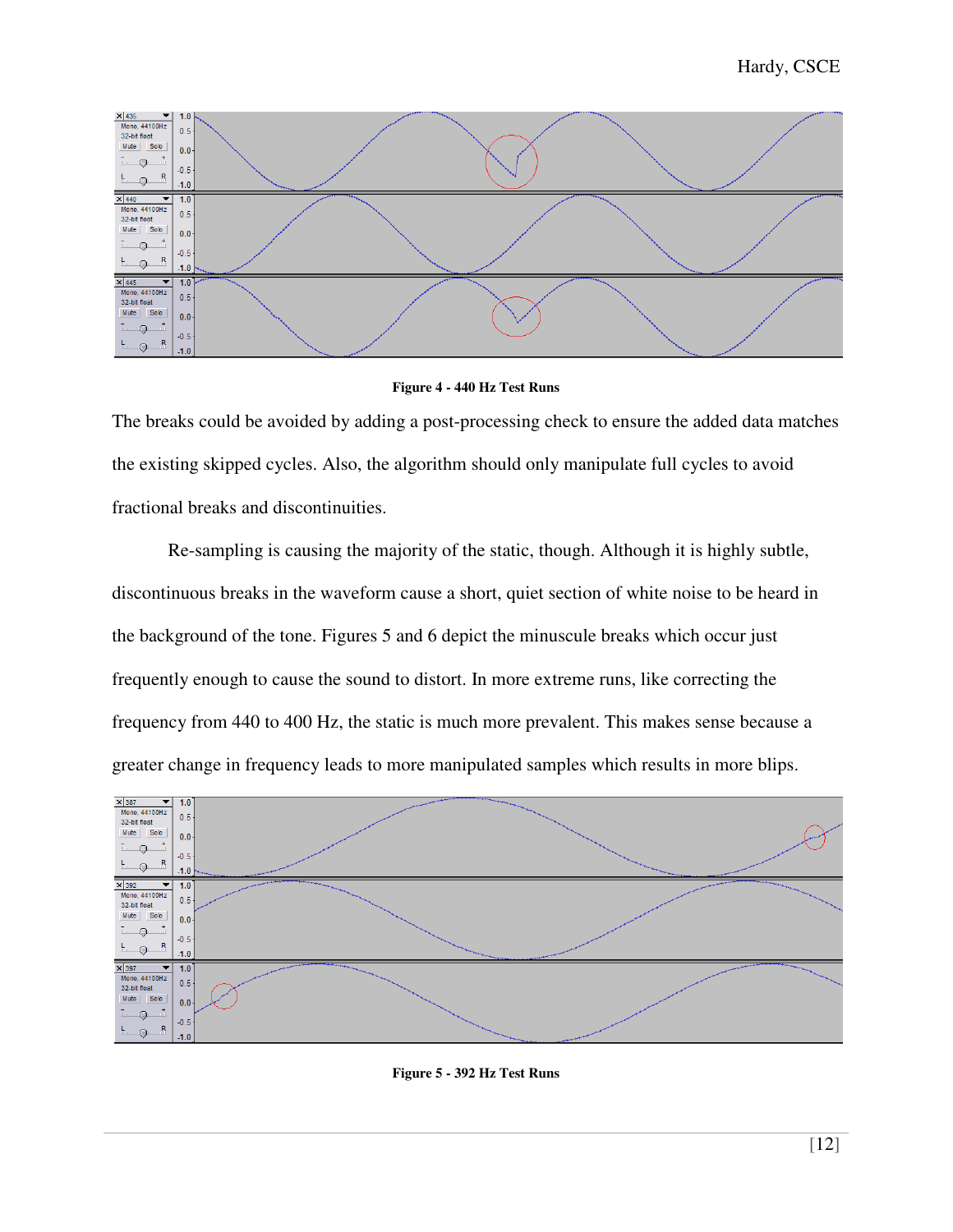

**Figure 4 - 440 Hz Test Runs** 

The breaks could be avoided by adding a post-processing check to ensure the added data matches the existing skipped cycles. Also, the algorithm should only manipulate full cycles to avoid fractional breaks and discontinuities.

 Re-sampling is causing the majority of the static, though. Although it is highly subtle, discontinuous breaks in the waveform cause a short, quiet section of white noise to be heard in the background of the tone. Figures 5 and 6 depict the minuscule breaks which occur just frequently enough to cause the sound to distort. In more extreme runs, like correcting the frequency from 440 to 400 Hz, the static is much more prevalent. This makes sense because a greater change in frequency leads to more manipulated samples which results in more blips.



**Figure 5 - 392 Hz Test Runs**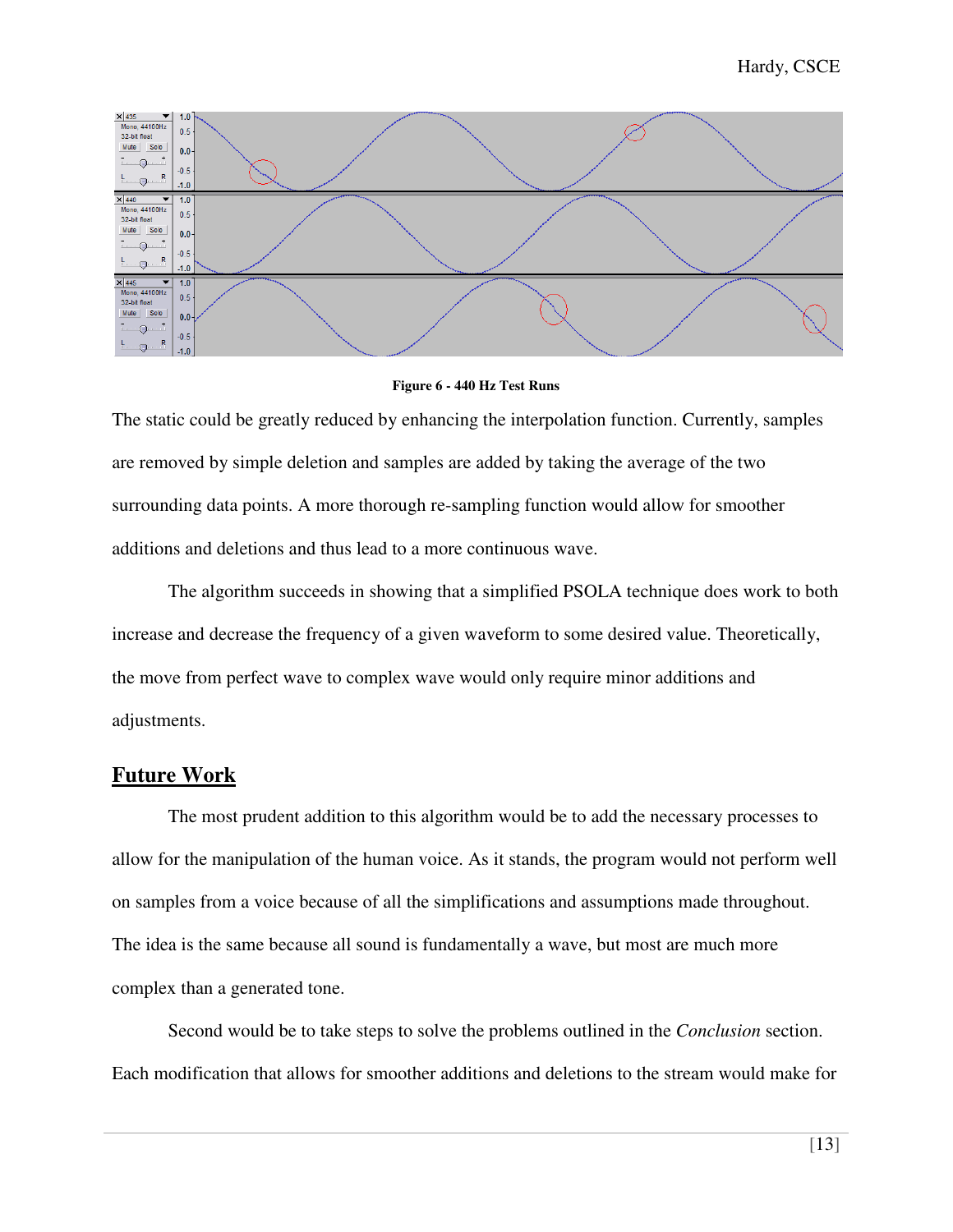

**Figure 6 - 440 Hz Test Runs** 

The static could be greatly reduced by enhancing the interpolation function. Currently, samples are removed by simple deletion and samples are added by taking the average of the two surrounding data points. A more thorough re-sampling function would allow for smoother additions and deletions and thus lead to a more continuous wave.

 The algorithm succeeds in showing that a simplified PSOLA technique does work to both increase and decrease the frequency of a given waveform to some desired value. Theoretically, the move from perfect wave to complex wave would only require minor additions and adjustments.

#### **Future Work**

 The most prudent addition to this algorithm would be to add the necessary processes to allow for the manipulation of the human voice. As it stands, the program would not perform well on samples from a voice because of all the simplifications and assumptions made throughout. The idea is the same because all sound is fundamentally a wave, but most are much more complex than a generated tone.

 Second would be to take steps to solve the problems outlined in the *Conclusion* section. Each modification that allows for smoother additions and deletions to the stream would make for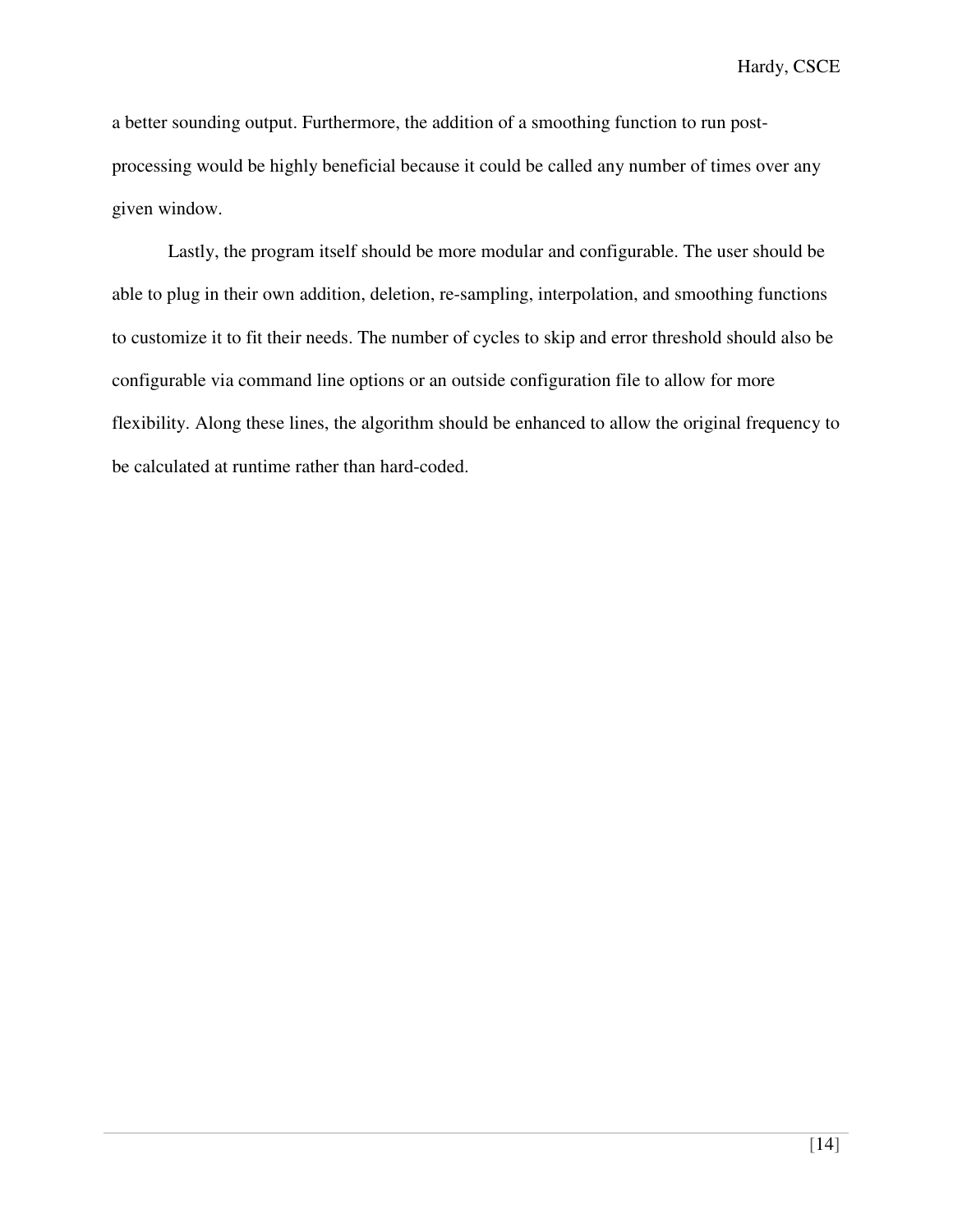a better sounding output. Furthermore, the addition of a smoothing function to run postprocessing would be highly beneficial because it could be called any number of times over any given window.

 Lastly, the program itself should be more modular and configurable. The user should be able to plug in their own addition, deletion, re-sampling, interpolation, and smoothing functions to customize it to fit their needs. The number of cycles to skip and error threshold should also be configurable via command line options or an outside configuration file to allow for more flexibility. Along these lines, the algorithm should be enhanced to allow the original frequency to be calculated at runtime rather than hard-coded.